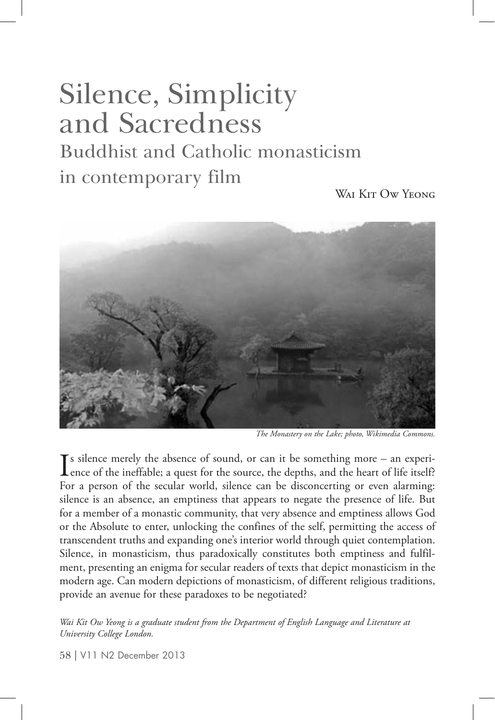# Silence, Simplicity and Sacredness Buddhist and Catholic monasticism in contemporary film

WAI KIT OW YEONG



*The Monastery on the Lake; photo, Wikimedia Commons.*

 $\sum$  s silence merely the absence of sound, or can it be something more – an experience of the ineffable; a quest for the source, the depths, and the heart of life itself? s silence merely the absence of sound, or can it be something more – an experi-For a person of the secular world, silence can be disconcerting or even alarming: silence is an absence, an emptiness that appears to negate the presence of life. But for a member of a monastic community, that very absence and emptiness allows God or the Absolute to enter, unlocking the confines of the self, permitting the access of transcendent truths and expanding one's interior world through quiet contemplation. Silence, in monasticism, thus paradoxically constitutes both emptiness and fulfilment, presenting an enigma for secular readers of texts that depict monasticism in the modern age. Can modern depictions of monasticism, of different religious traditions, provide an avenue for these paradoxes to be negotiated?

*Wai Kit Ow Yeong is a graduate student from the Department of English Language and Literature at University College London.* 

58 | V11 N2 December 2013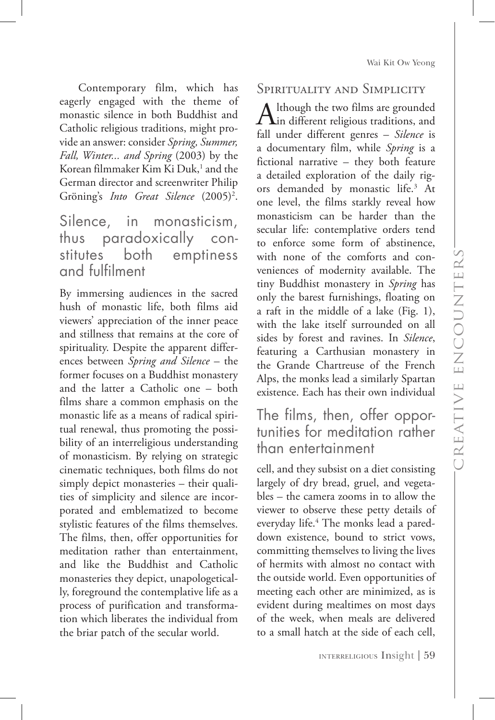Wai Kit Ow Yeong

Contemporary film, which has eagerly engaged with the theme of monastic silence in both Buddhist and Catholic religious traditions, might provide an answer: consider *Spring, Summer, Fall, Winter... and Spring* (2003) by the Korean filmmaker Kim Ki Duk,<sup>1</sup> and the German director and screenwriter Philip Gröning's *Into Great Silence* (2005)<sup>2</sup>.

# Silence, in monasticism, thus paradoxically constitutes both emptiness and fulfilment

By immersing audiences in the sacred hush of monastic life, both films aid viewers' appreciation of the inner peace and stillness that remains at the core of spirituality. Despite the apparent differences between *Spring and Silence* – the former focuses on a Buddhist monastery and the latter a Catholic one – both films share a common emphasis on the monastic life as a means of radical spiritual renewal, thus promoting the possibility of an interreligious understanding of monasticism. By relying on strategic cinematic techniques, both films do not simply depict monasteries – their qualities of simplicity and silence are incorporated and emblematized to become stylistic features of the films themselves. The films, then, offer opportunities for meditation rather than entertainment, and like the Buddhist and Catholic monasteries they depict, unapologetically, foreground the contemplative life as a process of purification and transformation which liberates the individual from the briar patch of the secular world.

#### Spirituality and Simplicity

Although the two films are grounded<br>in different religious traditions, and<br> $\frac{1}{2}$ fall under different genres – *Silence* is a documentary film, while *Spring* is a fictional narrative – they both feature a detailed exploration of the daily rigors demanded by monastic life.3 At one level, the films starkly reveal how monasticism can be harder than the secular life: contemplative orders tend to enforce some form of abstinence, with none of the comforts and conveniences of modernity available. The tiny Buddhist monastery in *Spring* has only the barest furnishings, floating on a raft in the middle of a lake (Fig. 1), with the lake itself surrounded on all sides by forest and ravines. In *Silence*, featuring a Carthusian monastery in the Grande Chartreuse of the French Alps, the monks lead a similarly Spartan existence. Each has their own individual

# The films, then, offer opportunities for meditation rather than entertainment

cell, and they subsist on a diet consisting largely of dry bread, gruel, and vegetables – the camera zooms in to allow the viewer to observe these petty details of everyday life.4 The monks lead a pareddown existence, bound to strict vows, committing themselves to living the lives of hermits with almost no contact with the outside world. Even opportunities of meeting each other are minimized, as is evident during mealtimes on most days of the week, when meals are delivered to a small hatch at the side of each cell,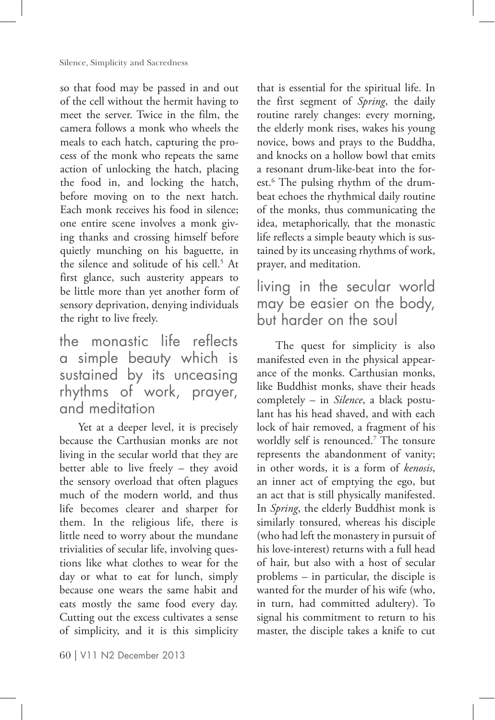so that food may be passed in and out of the cell without the hermit having to meet the server. Twice in the film, the camera follows a monk who wheels the meals to each hatch, capturing the process of the monk who repeats the same action of unlocking the hatch, placing the food in, and locking the hatch, before moving on to the next hatch. Each monk receives his food in silence; one entire scene involves a monk giving thanks and crossing himself before quietly munching on his baguette, in the silence and solitude of his cell.<sup>5</sup> At first glance, such austerity appears to be little more than yet another form of sensory deprivation, denying individuals the right to live freely.

the monastic life reflects a simple beauty which is sustained by its unceasing rhythms of work, prayer, and meditation

Yet at a deeper level, it is precisely because the Carthusian monks are not living in the secular world that they are better able to live freely – they avoid the sensory overload that often plagues much of the modern world, and thus life becomes clearer and sharper for them. In the religious life, there is little need to worry about the mundane trivialities of secular life, involving questions like what clothes to wear for the day or what to eat for lunch, simply because one wears the same habit and eats mostly the same food every day. Cutting out the excess cultivates a sense of simplicity, and it is this simplicity

60 | V11 N2 December 2013

that is essential for the spiritual life. In the first segment of *Spring*, the daily routine rarely changes: every morning, the elderly monk rises, wakes his young novice, bows and prays to the Buddha, and knocks on a hollow bowl that emits a resonant drum-like-beat into the forest.6 The pulsing rhythm of the drumbeat echoes the rhythmical daily routine of the monks, thus communicating the idea, metaphorically, that the monastic life reflects a simple beauty which is sustained by its unceasing rhythms of work, prayer, and meditation.

living in the secular world may be easier on the body, but harder on the soul

The quest for simplicity is also manifested even in the physical appearance of the monks. Carthusian monks, like Buddhist monks, shave their heads completely – in *Silence*, a black postulant has his head shaved, and with each lock of hair removed, a fragment of his worldly self is renounced.7 The tonsure represents the abandonment of vanity; in other words, it is a form of *kenosis*, an inner act of emptying the ego, but an act that is still physically manifested. In *Spring*, the elderly Buddhist monk is similarly tonsured, whereas his disciple (who had left the monastery in pursuit of his love-interest) returns with a full head of hair, but also with a host of secular problems – in particular, the disciple is wanted for the murder of his wife (who, in turn, had committed adultery). To signal his commitment to return to his master, the disciple takes a knife to cut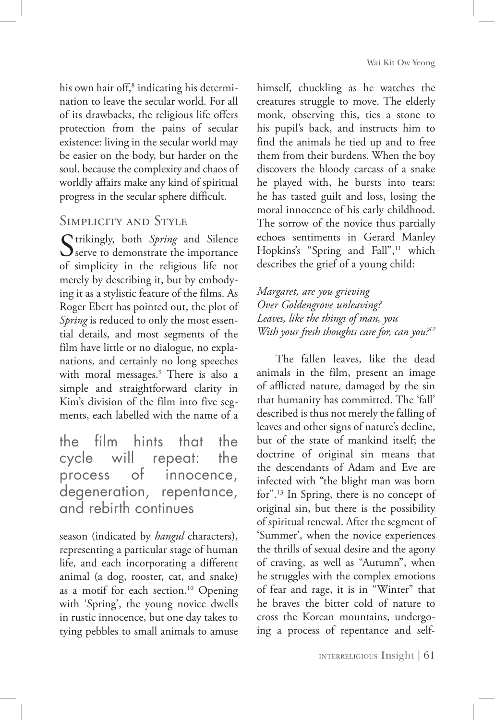his own hair off,<sup>8</sup> indicating his determination to leave the secular world. For all of its drawbacks, the religious life offers protection from the pains of secular existence: living in the secular world may be easier on the body, but harder on the soul, because the complexity and chaos of worldly affairs make any kind of spiritual progress in the secular sphere difficult.

## Simplicity and Style

Strikingly, both *Spring* and Silence<br>
serve to demonstrate the importance of simplicity in the religious life not merely by describing it, but by embodying it as a stylistic feature of the films. As Roger Ebert has pointed out, the plot of Spring is reduced to only the most essential details, and most segments of the film have little or no dialogue, no explanations, and certainly no long speeches with moral messages.9 There is also a simple and straightforward clarity in Kim's division of the film into five segments, each labelled with the name of a

the film hints that the cycle will repeat: the process of innocence, degeneration, repentance, and rebirth continues

season (indicated by *hangul* characters), representing a particular stage of human life, and each incorporating a different animal (a dog, rooster, cat, and snake) as a motif for each section.<sup>10</sup> Opening with 'Spring', the young novice dwells in rustic innocence, but one day takes to tying pebbles to small animals to amuse himself, chuckling as he watches the creatures struggle to move. The elderly monk, observing this, ties a stone to his pupil's back, and instructs him to find the animals he tied up and to free them from their burdens. When the boy discovers the bloody carcass of a snake he played with, he bursts into tears: he has tasted guilt and loss, losing the moral innocence of his early childhood. The sorrow of the novice thus partially echoes sentiments in Gerard Manley Hopkins's "Spring and Fall",<sup>11</sup> which describes the grief of a young child:

*Margaret, are you grieving Over Goldengrove unleaving? Leaves, like the things of man, you With your fresh thoughts care for, can you?12*

The fallen leaves, like the dead animals in the film, present an image of afflicted nature, damaged by the sin that humanity has committed. The 'fall' described is thus not merely the falling of leaves and other signs of nature's decline, but of the state of mankind itself; the doctrine of original sin means that the descendants of Adam and Eve are infected with "the blight man was born for".<sup>13</sup> In Spring, there is no concept of original sin, but there is the possibility of spiritual renewal. After the segment of 'Summer', when the novice experiences the thrills of sexual desire and the agony of craving, as well as "Autumn", when he struggles with the complex emotions of fear and rage, it is in "Winter" that he braves the bitter cold of nature to cross the Korean mountains, undergoing a process of repentance and self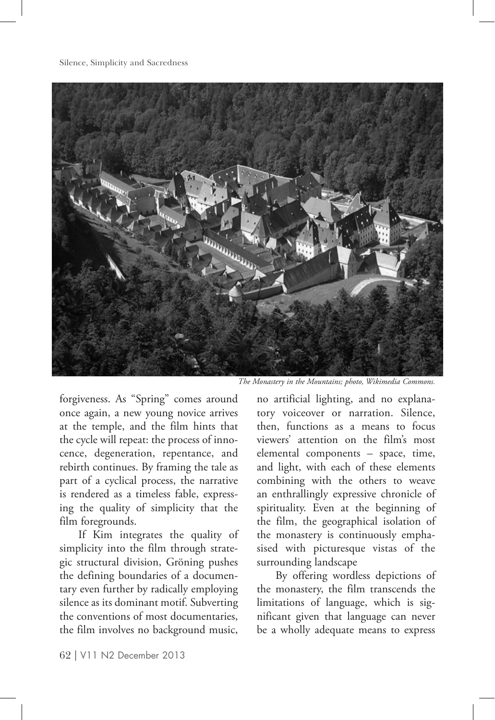Silence, Simplicity and Sacredness



*The Monastery in the Mountains; photo, Wikimedia Commons.*

forgiveness. As "Spring" comes around once again, a new young novice arrives at the temple, and the film hints that the cycle will repeat: the process of innocence, degeneration, repentance, and rebirth continues. By framing the tale as part of a cyclical process, the narrative is rendered as a timeless fable, expressing the quality of simplicity that the film foregrounds.

If Kim integrates the quality of simplicity into the film through strategic structural division, Gröning pushes the defining boundaries of a documentary even further by radically employing silence as its dominant motif. Subverting the conventions of most documentaries, the film involves no background music,

no artificial lighting, and no explanatory voiceover or narration. Silence, then, functions as a means to focus viewers' attention on the film's most elemental components – space, time, and light, with each of these elements combining with the others to weave an enthrallingly expressive chronicle of spirituality. Even at the beginning of the film, the geographical isolation of the monastery is continuously emphasised with picturesque vistas of the surrounding landscape

By offering wordless depictions of the monastery, the film transcends the limitations of language, which is significant given that language can never be a wholly adequate means to express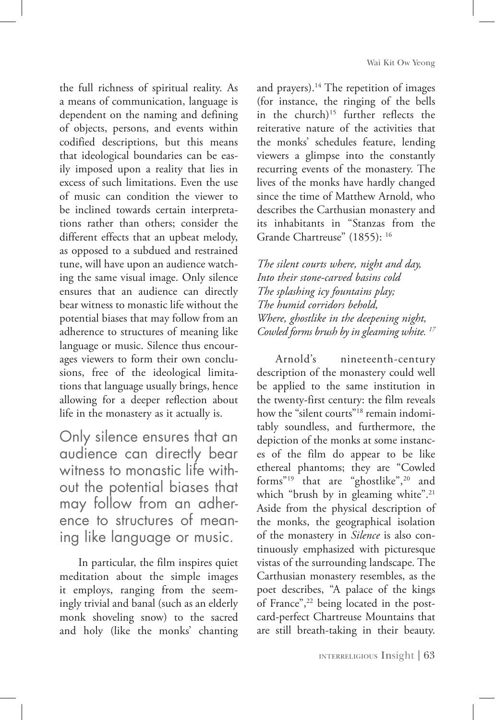the full richness of spiritual reality. As a means of communication, language is dependent on the naming and defining of objects, persons, and events within codified descriptions, but this means that ideological boundaries can be easily imposed upon a reality that lies in excess of such limitations. Even the use of music can condition the viewer to be inclined towards certain interpretations rather than others; consider the different effects that an upbeat melody, as opposed to a subdued and restrained tune, will have upon an audience watching the same visual image. Only silence ensures that an audience can directly bear witness to monastic life without the potential biases that may follow from an adherence to structures of meaning like language or music. Silence thus encourages viewers to form their own conclusions, free of the ideological limitations that language usually brings, hence allowing for a deeper reflection about life in the monastery as it actually is.

Only silence ensures that an audience can directly bear witness to monastic life without the potential biases that may follow from an adherence to structures of meaning like language or music.

In particular, the film inspires quiet meditation about the simple images it employs, ranging from the seemingly trivial and banal (such as an elderly monk shoveling snow) to the sacred and holy (like the monks' chanting

and prayers).<sup>14</sup> The repetition of images (for instance, the ringing of the bells in the church) $15$  further reflects the reiterative nature of the activities that the monks' schedules feature, lending viewers a glimpse into the constantly recurring events of the monastery. The lives of the monks have hardly changed since the time of Matthew Arnold, who describes the Carthusian monastery and its inhabitants in "Stanzas from the Grande Chartreuse" (1855): <sup>16</sup>

*The silent courts where, night and day, Into their stone-carved basins cold The splashing icy fountains play; The humid corridors behold, Where, ghostlike in the deepening night, Cowled forms brush by in gleaming white. 17*

Arnold's nineteenth-century description of the monastery could well be applied to the same institution in the twenty-first century: the film reveals how the "silent courts"<sup>18</sup> remain indomitably soundless, and furthermore, the depiction of the monks at some instances of the film do appear to be like ethereal phantoms; they are "Cowled forms"<sup>19</sup> that are "ghostlike",<sup>20</sup> and which "brush by in gleaming white".<sup>21</sup> Aside from the physical description of the monks, the geographical isolation of the monastery in *Silence* is also continuously emphasized with picturesque vistas of the surrounding landscape. The Carthusian monastery resembles, as the poet describes, "A palace of the kings of France",<sup>22</sup> being located in the postcard-perfect Chartreuse Mountains that are still breath-taking in their beauty.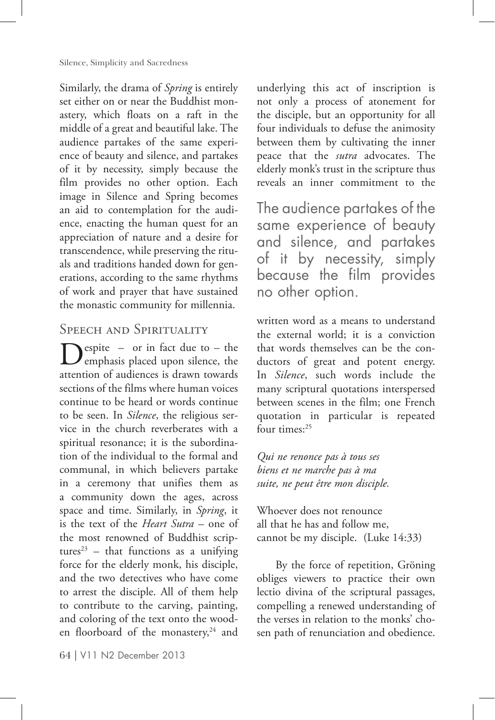Similarly, the drama of *Spring* is entirely set either on or near the Buddhist monastery, which floats on a raft in the middle of a great and beautiful lake. The audience partakes of the same experience of beauty and silence, and partakes of it by necessity, simply because the film provides no other option. Each image in Silence and Spring becomes an aid to contemplation for the audience, enacting the human quest for an appreciation of nature and a desire for transcendence, while preserving the rituals and traditions handed down for generations, according to the same rhythms of work and prayer that have sustained the monastic community for millennia.

### SPEECH AND SPIRITUALITY

 $\sum_{\text{emphasis placed upon silence, the}}$ attention of audiences is drawn towards sections of the films where human voices continue to be heard or words continue to be seen. In *Silence*, the religious service in the church reverberates with a spiritual resonance; it is the subordination of the individual to the formal and communal, in which believers partake in a ceremony that unifies them as a community down the ages, across space and time. Similarly, in *Spring*, it is the text of the *Heart Sutra* – one of the most renowned of Buddhist scriptures<sup>23</sup> – that functions as a unifying force for the elderly monk, his disciple, and the two detectives who have come to arrest the disciple. All of them help to contribute to the carving, painting, and coloring of the text onto the wooden floorboard of the monastery,<sup>24</sup> and

64 | V11 N2 December 2013

underlying this act of inscription is not only a process of atonement for the disciple, but an opportunity for all four individuals to defuse the animosity between them by cultivating the inner peace that the *sutra* advocates. The elderly monk's trust in the scripture thus reveals an inner commitment to the

The audience partakes of the same experience of beauty and silence, and partakes of it by necessity, simply because the film provides no other option.

written word as a means to understand the external world; it is a conviction that words themselves can be the conductors of great and potent energy. In *Silence*, such words include the many scriptural quotations interspersed between scenes in the film; one French quotation in particular is repeated four times:<sup>25</sup>

*Qui ne renonce pas à tous ses biens et ne marche pas à ma suite, ne peut être mon disciple.* 

Whoever does not renounce all that he has and follow me, cannot be my disciple. (Luke 14:33)

By the force of repetition, Gröning obliges viewers to practice their own lectio divina of the scriptural passages, compelling a renewed understanding of the verses in relation to the monks' chosen path of renunciation and obedience.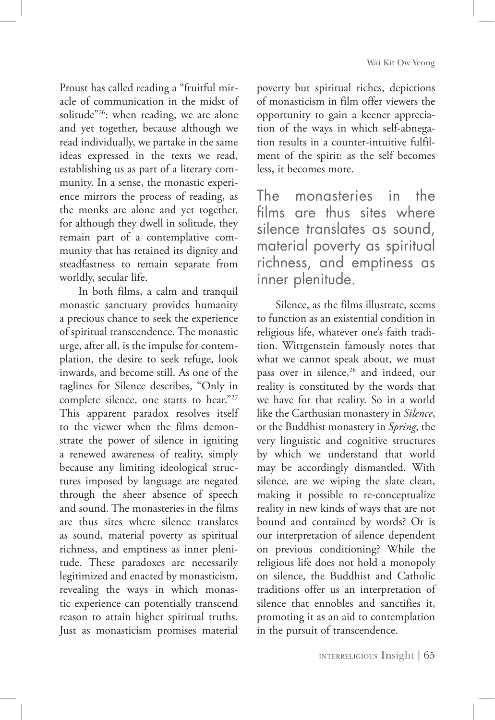Proust has called reading a "fruitful miracle of communication in the midst of solitude"<sup>26</sup>: when reading, we are alone and yet together, because although we read individually, we partake in the same ideas expressed in the texts we read, establishing us as part of a literary community. In a sense, the monastic experience mirrors the process of reading, as the monks are alone and yet together, for although they dwell in solitude, they remain part of a contemplative community that has retained its dignity and steadfastness to remain separate from worldly, secular life.

In both films, a calm and tranquil monastic sanctuary provides humanity a precious chance to seek the experience of spiritual transcendence. The monastic urge, after all, is the impulse for contemplation, the desire to seek refuge, look inwards, and become still. As one of the taglines for Silence describes, "Only in complete silence, one starts to hear."27 This apparent paradox resolves itself to the viewer when the films demonstrate the power of silence in igniting a renewed awareness of reality, simply because any limiting ideological structures imposed by language are negated through the sheer absence of speech and sound. The monasteries in the films are thus sites where silence translates as sound, material poverty as spiritual richness, and emptiness as inner plenitude. These paradoxes are necessarily legitimized and enacted by monasticism, revealing the ways in which monastic experience can potentially transcend reason to attain higher spiritual truths. Just as monasticism promises material

poverty but spiritual riches, depictions of monasticism in film offer viewers the opportunity to gain a keener appreciation of the ways in which self-abnegation results in a counter-intuitive fulfilment of the spirit: as the self becomes less, it becomes more.

The monasteries in the films are thus sites where silence translates as sound, material poverty as spiritual richness, and emptiness as inner plenitude.

Silence, as the films illustrate, seems to function as an existential condition in religious life, whatever one's faith tradition. Wittgenstein famously notes that what we cannot speak about, we must pass over in silence,<sup>28</sup> and indeed, our reality is constituted by the words that we have for that reality. So in a world like the Carthusian monastery in *Silence*, or the Buddhist monastery in *Spring*, the very linguistic and cognitive structures by which we understand that world may be accordingly dismantled. With silence, are we wiping the slate clean, making it possible to re-conceptualize reality in new kinds of ways that are not bound and contained by words? Or is our interpretation of silence dependent on previous conditioning? While the religious life does not hold a monopoly on silence, the Buddhist and Catholic traditions offer us an interpretation of silence that ennobles and sanctifies it, promoting it as an aid to contemplation in the pursuit of transcendence.